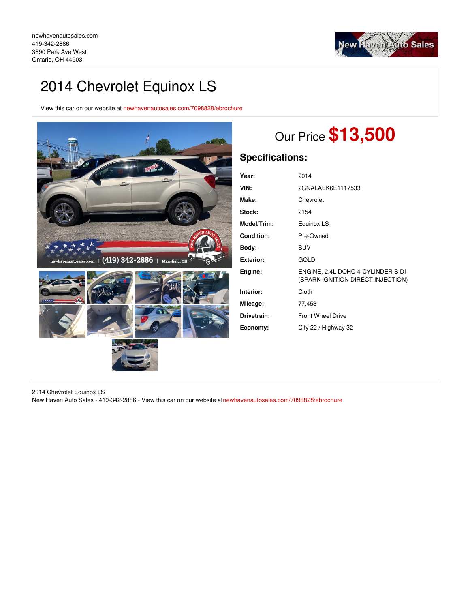

# 2014 Chevrolet Equinox LS

View this car on our website at [newhavenautosales.com/7098828/ebrochure](https://newhavenautosales.com/vehicle/7098828/2014-chevrolet-equinox-ls-ontario-oh-44903/7098828/ebrochure)



# Our Price **\$13,500**

## **Specifications:**

| Year:            | 2014                                                                   |
|------------------|------------------------------------------------------------------------|
| VIN:             | 2GNALAEK6E1117533                                                      |
| Make:            | Chevrolet                                                              |
| Stock:           | 2154                                                                   |
| Model/Trim:      | Equinox LS                                                             |
| Condition:       | Pre-Owned                                                              |
| Body:            | <b>SUV</b>                                                             |
| <b>Exterior:</b> | GOLD                                                                   |
| Engine:          | ENGINE, 2.4L DOHC 4-CYLINDER SIDI<br>(SPARK IGNITION DIRECT INJECTION) |
| Interior:        | Cloth                                                                  |
| Mileage:         | 77,453                                                                 |
| Drivetrain:      | <b>Front Wheel Drive</b>                                               |
| Economy:         | City 22 / Highway 32                                                   |

2014 Chevrolet Equinox LS New Haven Auto Sales - 419-342-2886 - View this car on our website a[tnewhavenautosales.com/7098828/ebrochure](https://newhavenautosales.com/vehicle/7098828/2014-chevrolet-equinox-ls-ontario-oh-44903/7098828/ebrochure)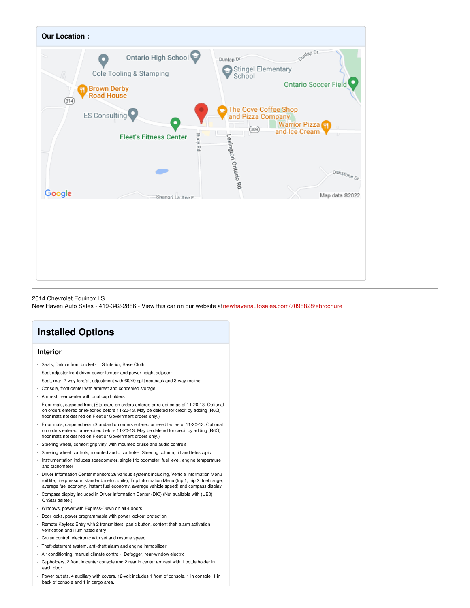

#### 2014 Chevrolet Equinox LS

New Haven Auto Sales - 419-342-2886 - View this car on our website a[tnewhavenautosales.com/7098828/ebrochure](https://newhavenautosales.com/vehicle/7098828/2014-chevrolet-equinox-ls-ontario-oh-44903/7098828/ebrochure)

## **Installed Options**

### **Interior**

- Seats, Deluxe front bucket LS Interior, Base Cloth
- Seat adjuster front driver power lumbar and power height adjuster
- Seat, rear, 2-way fore/aft adjustment with 60/40 split seatback and 3-way recline
- Console, front center with armrest and concealed storage
- Armrest, rear center with dual cup holders
- Floor mats, carpeted front (Standard on orders entered or re-edited as of 11-20-13. Optional on orders entered or re-edited before 11-20-13. May be deleted for credit by adding (R6Q) floor mats not desired on Fleet or Government orders only.)
- Floor mats, carpeted rear (Standard on orders entered or re-edited as of 11-20-13. Optional on orders entered or re-edited before 11-20-13. May be deleted for credit by adding (R6Q) floor mats not desired on Fleet or Government orders only.)
- Steering wheel, comfort grip vinyl with mounted cruise and audio controls
- Steering wheel controls, mounted audio controls- Steering column, tilt and telescopic
- Instrumentation includes speedometer, single trip odometer, fuel level, engine temperature and tachometer
- Driver Information Center monitors 26 various systems including, Vehicle Information Menu (oil life, tire pressure, standard/metric units), Trip Information Menu (trip 1, trip 2, fuel range, average fuel economy, instant fuel economy, average vehicle speed) and compass display Compass display included in Driver Information Center (DIC) (Not available with (UE0)
- OnStar delete.)
- Windows, power with Express-Down on all 4 doors
- Door locks, power programmable with power lockout protection
- Remote Keyless Entry with 2 transmitters, panic button, content theft alarm activation verification and illuminated entry
- Cruise control, electronic with set and resume speed
- Theft-deterrent system, anti-theft alarm and engine immobilizer.
- Air conditioning, manual climate control- Defogger, rear-window electric
- Cupholders, 2 front in center console and 2 rear in center armrest with 1 bottle holder in each door
- Power outlets, 4 auxiliary with covers, 12-volt includes 1 front of console, 1 in console, 1 in back of console and 1 in cargo area.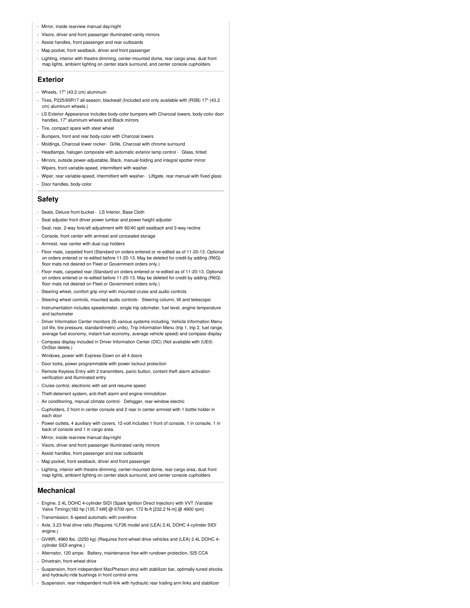- Mirror, inside rearview manual day/night
- Visors, driver and front passenger illuminated vanity mirrors
- Assist handles, front passenger and rear outboards
- Map pocket, front seatback, driver and front passenger
- Lighting, interior with theatre dimming, center-mounted dome, rear cargo area, dual front map lights, ambient lighting on center stack surround, and center console cupholders

#### **Exterior**

- Wheels, 17" (43.2 cm) aluminum
- Tires, P225/65R17 all-season, blackwall (Included and only available with (RSB) 17" (43.2 cm) aluminum wheels.)
- LS Exterior Appearance includes body-color bumpers with Charcoal lowers, body-color door handles, 17" aluminum wheels and Black mirrors
- Tire, compact spare with steel wheel
- Bumpers, front and rear body-color with Charcoal lowers
- Moldings, Charcoal lower rocker- Grille, Charcoal with chrome surround
- Headlamps, halogen composite with automatic exterior lamp control Glass, tinted
- Mirrors, outside power-adjustable, Black, manual-folding and integral spotter mirror
- Wipers, front variable-speed, intermittent with washer.
- Wiper, rear variable-speed, intermittent with washer- Liftgate, rear manual with fixed glass
- Door handles, body-color

### **Safety**

- Seats, Deluxe front bucket LS Interior, Base Cloth
- Seat adjuster front driver power lumbar and power height adjuster
- Seat, rear, 2-way fore/aft adjustment with 60/40 split seatback and 3-way recline
- Console, front center with armrest and concealed storage
- Armrest, rear center with dual cup holders
- Floor mats, carpeted front (Standard on orders entered or re-edited as of 11-20-13. Optional on orders entered or re-edited before 11-20-13. May be deleted for credit by adding (R6Q) floor mats not desired on Fleet or Government orders only.)
- Floor mats, carpeted rear (Standard on orders entered or re-edited as of 11-20-13. Optional on orders entered or re-edited before 11-20-13. May be deleted for credit by adding (R6Q) floor mats not desired on Fleet or Government orders only.)
- Steering wheel, comfort grip vinyl with mounted cruise and audio controls
- Steering wheel controls, mounted audio controls- Steering column, tilt and telescopic
- Instrumentation includes speedometer, single trip odometer, fuel level, engine temperature and tachometer
- Driver Information Center monitors 26 various systems including, Vehicle Information Menu (oil life, tire pressure, standard/metric units), Trip Information Menu (trip 1, trip 2, fuel range, average fuel economy, instant fuel economy, average vehicle speed) and compass display
- Compass display included in Driver Information Center (DIC) (Not available with (UE0) OnStar delete.)
- Windows, power with Express-Down on all 4 doors
- Door locks, power programmable with power lockout protection
- Remote Keyless Entry with 2 transmitters, panic button, content theft alarm activation verification and illuminated entry
- Cruise control, electronic with set and resume speed
- Theft-deterrent system, anti-theft alarm and engine immobilizer.
- Air conditioning, manual climate control- Defogger, rear-window electric
- Cupholders, 2 front in center console and 2 rear in center armrest with 1 bottle holder in each door
- Power outlets, 4 auxiliary with covers, 12-volt includes 1 front of console, 1 in console, 1 in back of console and 1 in cargo area.
- Mirror, inside rearview manual day/night
- Visors, driver and front passenger illuminated vanity mirrors
- Assist handles, front passenger and rear outboards
- Map pocket, front seatback, driver and front passenger
- Lighting, interior with theatre dimming, center-mounted dome, rear cargo area, dual front map lights, ambient lighting on center stack surround, and center console cupholders

#### **Mechanical**

- Engine, 2.4L DOHC 4-cylinder SIDI (Spark Ignition Direct Injection) with VVT (Variable Valve Timing)(182 hp [135.7 kW] @ 6700 rpm, 172 lb-ft [232.2 N-m] @ 4900 rpm)
- Transmission, 6-speed automatic with overdrive
- Axle, 3.23 final drive ratio (Requires 1LF26 model and (LEA) 2.4L DOHC 4-cylinder SIDI engine.)
- GVWR, 4960 lbs. (2250 kg) (Requires front-wheel drive vehicles and (LEA) 2.4L DOHC 4 cylinder SIDI engine.)
- Alternator, 120 amps- Battery, maintenance free with rundown protection, 525 CCA
- Drivetrain, front-wheel drive
- Suspension, front independent MacPherson strut with stabilizer bar, optimally-tuned shocks and hydraulic-ride bushings in front control arm
- Suspension, rear independent multi-link with hydraulic rear trailing arm links and stabilizer